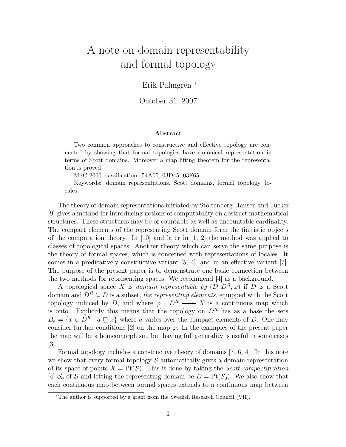# A note on domain representability and formal topology

Erik Palmgren <sup>∗</sup>

October 31, 2007

#### Abstract

Two common approaches to constructive and effective topology are connected by showing that formal topologies have canonical representation in terms of Scott domains. Moreover a map lifting theorem for the representation is proved.

MSC 2000 classification: 54A05, 03D45, 03F65.

Keywords: domain representations, Scott domains, formal topology, locales.

The theory of domain representations initiated by Stoltenberg-Hansen and Tucker [9] gives a method for introducing notions of computability on abstract mathematical structures. These structures may be of countable as well as uncountable cardinality. The compact elements of the representing Scott domain form the finitistic objects of the computation theory. In [10] and later in [1, 2] the method was applied to classes of topological spaces. Another theory which can serve the same purpose is the theory of formal spaces, which is concerned with representations of locales. It comes in a predicatively constructive variant [5, 4], and in an effective variant [7]. The purpose of the present paper is to demonstrate one basic connection between the two methods for representing spaces. We recommend [4] as a background.

A topological space X is domain representable by  $(D, D^R, \varphi)$  if D is a Scott domain and  $D^R \subseteq D$  is a subset, the representing elements, equipped with the Scott topology induced by D, and where  $\varphi : D^R \longrightarrow X$  is a continuous map which is onto. Explicitly this means that the topology on  $D<sup>R</sup>$  has as a base the sets  $B_a = \{x \in D^R : a \sqsubseteq x\}$  where a varies over the compact elements of D. One may consider further conditions [2] on the map  $\varphi$ . In the examples of the present paper the map will be a homeomorphism, but having full generality is useful in some cases  $|3|$ .

Formal topology includes a constructive theory of domains [7, 6, 4]. In this note we show that every formal topology  $\mathcal S$  automatically gives a domain representation of its space of points  $X = \text{Pt}(\mathcal{S})$ . This is done by taking the *Scott compactification* [4]  $S_0$  of S and letting the representing domain be  $D = Pt(S_0)$ . We also show that each continuous map between formal spaces extends to a continuous map between

<sup>∗</sup>The author is supported by a grant from the Swedish Research Council (VR).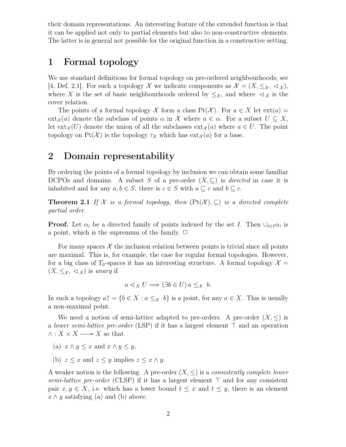their domain representations. An interesting feature of the extended function is that it can be applied not only to partial elements but also to non-constructive elements. The latter is in general not possible for the original function in a constructive setting.

### 1 Formal topology

We use standard definitions for formal topology on pre-ordered neighbourhoods; see [4, Def. 2.1]. For such a topology X we indicate components as  $\mathcal{X} = (X, \leq_{\mathcal{X}}, \leq_{\mathcal{X}})$ , where X is the set of basic neighbourhoods ordered by  $\leq_{\mathcal{X}}$ , and where  $\lhd_{\mathcal{X}}$  is the cover relation.

The points of a formal topology X form a class  $Pt(X)$ . For  $a \in X$  let  $ext(a) =$  $ext_{\mathcal{X}}(a)$  denote the subclass of points  $\alpha$  in X where  $a \in \alpha$ . For a subset  $U \subseteq X$ , let  $ext_{\mathcal{X}}(U)$  denote the union of all the subclasses  $ext_{\mathcal{X}}(a)$  where  $a \in U$ . The point topology on Pt(X) is the topology  $\tau_X$  which has  $ext{ext}_{\mathcal{X}}(a)$  for a base.

## 2 Domain representability

By ordering the points of a formal topology by inclusion we can obtain some familiar DCPOs and domains. A subset S of a pre-order  $(X, \sqsubseteq)$  is *directed* in case it is inhabited and for any  $a, b \in S$ , there is  $c \in S$  with  $a \sqsubseteq c$  and  $b \sqsubseteq c$ .

**Theorem 2.1** If X is a formal topology, then  $(Pt(X), \subseteq)$  is a directed complete partial order.

**Proof.** Let  $\alpha_i$  be a directed family of points indexed by the set I. Then  $\cup_{i\in I}\alpha_i$  is a point, which is the supremum of the family.  $\Box$ 

For many spaces  $\mathcal X$  the inclusion relation between points is trivial since all points are maximal. This is, for example, the case for regular formal topologies. However, for a big class of  $T_0$ -spaces it has an interesting structure. A formal topology  $\mathcal{X} =$  $(X, \leq_{\mathcal{X}}, \leq_{\mathcal{X}})$  is unary if

$$
a \triangleleft_{\mathcal{X}} U \Longrightarrow (\exists b \in U) \, a \leq_{\mathcal{X}} b.
$$

In such a topology  $a \uparrow = \{b \in X : a \leq_{\mathcal{X}} b\}$  is a point, for any  $a \in X$ . This is usually a non-maximal point.

We need a notion of semi-lattice adapted to pre-orders. A pre-order  $(X, \leq)$  is a lower semi-lattice pre-order (LSP) if it has a largest element ⊤ and an operation  $\wedge : X \times X \longrightarrow X$  so that

- (a)  $x \wedge y \leq x$  and  $x \wedge y \leq y$ ,
- (b)  $z \leq x$  and  $z \leq y$  implies  $z \leq x \wedge y$ .

A weaker notion is the following. A pre-order  $(X, \leq)$  is a *consistently complete lower* semi-lattice pre-order (CLSP) if it has a largest element ⊤ and for any consistent pair  $x, y \in X$ , i.e. which has a lower bound  $t \leq x$  and  $t \leq y$ , there is an element  $x \wedge y$  satisfying (a) and (b) above.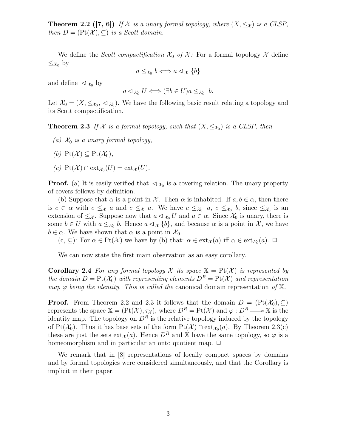**Theorem 2.2 ([7, 6])** If X is a unary formal topology, where  $(X, \leq_X)$  is a CLSP, then  $D = (\text{Pt}(\mathcal{X}), \subseteq)$  is a Scott domain.

We define the Scott compactification  $\mathcal{X}_0$  of  $\mathcal{X}$ : For a formal topology  $\mathcal{X}$  define  $\leq_{X_0}$  by

$$
a \leq_{\mathcal{X}_0} b \iff a \lhd_{\mathcal{X}} \{b\}
$$

and define  $\langle \mathcal{A}_{\alpha} \rangle$  by

$$
a \triangleleft_{\mathcal{X}_0} U \Longleftrightarrow (\exists b \in U) a \leq_{\mathcal{X}_0} b.
$$

Let  $\mathcal{X}_0 = (X, \leq_{\mathcal{X}_0}, \leq_{\mathcal{X}_0})$ . We have the following basic result relating a topology and its Scott compactification.

**Theorem 2.3** If X is a formal topology, such that  $(X, \leq_{X_0})$  is a CLSP, then

- (a)  $\mathcal{X}_0$  is a unary formal topology,
- (b)  $Pt(\mathcal{X}) \subseteq Pt(\mathcal{X}_0)$ ,
- (c)  $\mathrm{Pt}(\mathcal{X}) \cap \mathrm{ext}_{\mathcal{X}_0}(U) = \mathrm{ext}_{\mathcal{X}}(U).$

**Proof.** (a) It is easily verified that  $\langle \mathcal{X}_0 \rangle$  is a covering relation. The unary property of covers follows by definition.

(b) Suppose that  $\alpha$  is a point in X. Then  $\alpha$  is inhabited. If  $a, b \in \alpha$ , then there is  $c \in \alpha$  with  $c \leq_{\mathcal{X}} a$  and  $c \leq_{\mathcal{X}} a$ . We have  $c \leq_{\mathcal{X}_0} a$ ,  $c \leq_{\mathcal{X}_0} b$ , since  $\leq_{\mathcal{X}_0}$  is an extension of  $\leq_{\mathcal{X}}$ . Suppose now that  $a \leq_{\mathcal{X}_0} U$  and  $a \in \alpha$ . Since  $\mathcal{X}_0$  is unary, there is some  $b \in U$  with  $a \leq_{\mathcal{X}_0} b$ . Hence  $a \triangleleft_{\mathcal{X}} \{b\}$ , and because  $\alpha$  is a point in  $\mathcal{X}$ , we have  $b \in \alpha$ . We have shown that  $\alpha$  is a point in  $\mathcal{X}_0$ .

 $(c, \subseteq)$ : For  $\alpha \in Pt(X)$  we have by (b) that:  $\alpha \in ext_{\mathcal{X}}(a)$  iff  $\alpha \in ext_{\mathcal{X}}(a)$ .  $\Box$ 

We can now state the first main observation as an easy corollary.

**Corollary 2.4** For any formal topology X its space  $X = Pt(X)$  is represented by the domain  $D = Pt(X_0)$  with representing elements  $D^R = Pt(X)$  and representation map  $\varphi$  being the identity. This is called the canonical domain representation of X.

**Proof.** From Theorem 2.2 and 2.3 it follows that the domain  $D = (\text{Pt}(\mathcal{X}_0), \subset)$ represents the space  $\mathbb{X} = (\text{Pt}(\mathcal{X}), \tau_{\mathcal{X}})$ , where  $D^R = \text{Pt}(\mathcal{X})$  and  $\varphi : D^R \longrightarrow \mathbb{X}$  is the identity map. The topology on  $D^R$  is the relative topology induced by the topology of Pt( $\mathcal{X}_0$ ). Thus it has base sets of the form  $Pt(\mathcal{X}) \cap ext_{\mathcal{X}_0}(a)$ . By Theorem 2.3(c) these are just the sets  $ext_{\mathcal{X}}(a)$ . Hence  $D^R$  and X have the same topology, so  $\varphi$  is a homeomorphism and in particular an onto quotient map.  $\Box$ 

We remark that in [8] representations of locally compact spaces by domains and by formal topologies were considered simultaneously, and that the Corollary is implicit in their paper.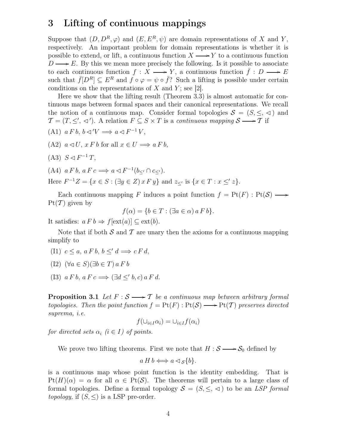# 3 Lifting of continuous mappings

Suppose that  $(D, D^R, \varphi)$  and  $(E, E^R, \psi)$  are domain representations of X and Y, respectively. An important problem for domain representations is whether it is possible to extend, or lift, a continuous function  $X \longrightarrow Y$  to a continuous function  $D \longrightarrow E$ . By this we mean more precisely the following. Is it possible to associate to each continuous function  $f : X \longrightarrow Y$ , a continuous function  $\bar{f} : D \longrightarrow E$ such that  $\bar{f}[D^R] \subseteq E^R$  and  $\bar{f} \circ \varphi = \psi \circ \bar{f}$ ? Such a lifting is possible under certain conditions on the representations of  $X$  and  $Y$ ; see [2].

Here we show that the lifting result (Theorem 3.3) is almost automatic for continuous maps between formal spaces and their canonical representations. We recall the notion of a continuous map. Consider formal topologies  $S = (S, \leq, \leq)$  and  $\mathcal{T} = (T, \leq', \preceq')$ . A relation  $F \subseteq S \times T$  is a continuous mapping  $S \longrightarrow T$  if

$$
(A1) a F b, b \triangleleft V \Longrightarrow a \triangleleft F^{-1} V,
$$

- (A2)  $a \triangleleft U$ ,  $x F b$  for all  $x \in U \Longrightarrow a F b$ ,
- (A3)  $S \lhd F^{-1}T$ ,

$$
(A4) a F b, a F c \Longrightarrow a \triangleleft F^{-1}(b_{\le'} \cap c_{\le'}).
$$

Here  $F^{-1}Z = \{x \in S : (\exists y \in Z) \, x \, F \, y\}$  and  $z_{\leq'}$  is  $\{x \in T : x \leq' z\}.$ 

Each continuous mapping F induces a point function  $f = \text{Pt}(F) : \text{Pt}(\mathcal{S}) \longrightarrow$  $Pt(T)$  given by

$$
f(\alpha) = \{ b \in T : (\exists a \in \alpha) \ a \ F \ b \}.
$$

It satisfies:  $a F b \Rightarrow f[\text{ext}(a)] \subseteq \text{ext}(b)$ .

Note that if both  $S$  and  $T$  are unary then the axioms for a continuous mapping simplify to

- (I1)  $c \leq a, a \in b, b \leq' d \Longrightarrow c \in d$ ,
- (I2)  $(\forall a \in S)(\exists b \in T) a F b$
- (I3)  $a F b, a F c \Longrightarrow (\exists d \leq' b, c) a F d.$

**Proposition 3.1** Let  $F : S \longrightarrow T$  be a continuous map between arbitrary formal topologies. Then the point function  $f = \text{Pt}(F) : \text{Pt}(\mathcal{S}) \longrightarrow \text{Pt}(\mathcal{T})$  preserves directed suprema, i.e.

$$
f(\cup_{i \in I} \alpha_i) = \cup_{i \in I} f(\alpha_i)
$$

for directed sets  $\alpha_i$  ( $i \in I$ ) of points.

We prove two lifting theorems. First we note that  $H : S \longrightarrow S_0$  defined by

$$
a H b \Longleftrightarrow a \triangleleft_{\mathcal{S}} \{b\}.
$$

is a continuous map whose point function is the identity embedding. That is  $P(f(H)(\alpha) = \alpha$  for all  $\alpha \in P(f,\mathcal{S})$ . The theorems will pertain to a large class of formal topologies. Define a formal topology  $S = (S, \leq, \leq)$  to be an LSP formal *topology*, if  $(S, \leq)$  is a LSP pre-order.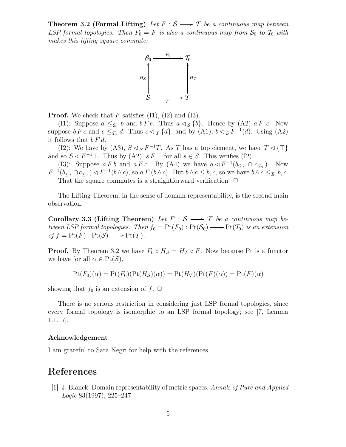**Theorem 3.2 (Formal Lifting)** Let  $F : S \longrightarrow T$  be a continuous map between LSP formal topologies. Then  $F_0 = F$  is also a continuous map from  $S_0$  to  $T_0$  with makes this lifting square commute:



**Proof.** We check that  $F$  satisfies (I1), (I2) and (I3).

(I1): Suppose  $a \leq_{\mathcal{S}_0} b$  and  $b F c$ . Thus  $a \triangleleft_{\mathcal{S}} \{b\}$ . Hence by (A2)  $a F c$ . Now suppose  $b F c$  and  $c \leq_{\mathcal{T}_0} d$ . Thus  $c \lhd_{\mathcal{T}} \{d\}$ , and by  $(A1)$ ,  $b \lhd_{\mathcal{S}} F^{-1}(d)$ . Using  $(A2)$ it follows that  $b \, F \, d$ .

(I2): We have by (A3),  $S \lhd_S F^{-1}T$ . As T has a top element, we have  $T \lhd \{\top\}$ and so  $S \triangleleft F^{-1}$ . Thus by (A2),  $s F \top$  for all  $s \in S$ . This verifies (I2).

(I3): Suppose  $a F b$  and  $a F c$ . By (A4) we have  $a \triangleleft F^{-1}(b \leq_{\tau} \cap c \leq_{\tau})$ . Now  $F^{-1}(b_{\leq \tau} \cap c_{\leq \tau}) \lhd F^{-1}(b \wedge c)$ , so a  $F(b \wedge c)$ . But  $b \wedge c \leq b, c$ , so we have  $b \wedge c \leq_{\tau_0} b, c$ . That the square commutes is a straightforward verification.  $\Box$ 

The Lifting Theorem, in the sense of domain representability, is the second main observation.

Corollary 3.3 (Lifting Theorem) Let  $F : S \longrightarrow T$  be a continuous map between LSP formal topologies. Then  $f_0 = \text{Pt}(F_0) : \text{Pt}(\mathcal{S}_0) \longrightarrow \text{Pt}(\mathcal{T}_0)$  is an extension of  $f = \text{Pt}(F) : \text{Pt}(\mathcal{S}) \longrightarrow \text{Pt}(\mathcal{T})$ .

**Proof.** By Theorem 3.2 we have  $F_0 \circ H_{\mathcal{S}} = H_{\mathcal{T}} \circ F$ . Now because Pt is a functor we have for all  $\alpha \in \text{Pt}(\mathcal{S}),$ 

$$
Pt(F_0)(\alpha) = Pt(F_0)(Pt(H_S)(\alpha)) = Pt(H_T)(Pt(F)(\alpha)) = Pt(F)(\alpha)
$$

showing that  $f_0$  is an extension of  $f$ .  $\Box$ 

There is no serious restriction in considering just LSP formal topologies, since every formal topology is isomorphic to an LSP formal topology; see [7, Lemma 1.1.17].

#### Acknowledgement

I am grateful to Sara Negri for help with the references.

### References

[1] J. Blanck. Domain representability of metric spaces. Annals of Pure and Applied  $Logic 83(1997), 225-247.$